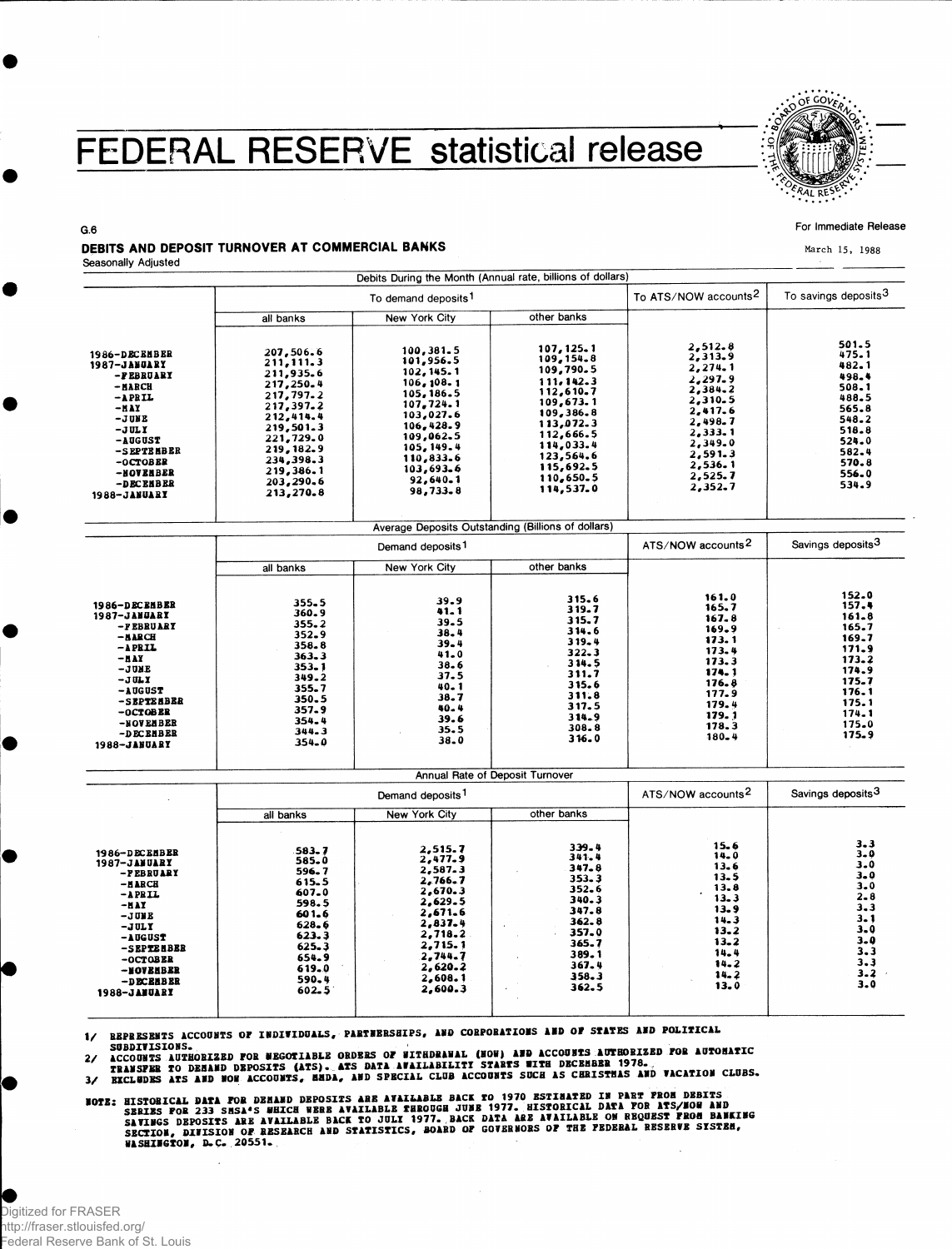# FEDERAL RESERVE statistical release



#### **For Immediate Release**

March 15, 1988

**G.6** 

### DEBITS AND DEPOSIT TURNOVER AT COMMERCIAL BANKS

**Seasonally Adjusted**

|                                                                                                                                                                                                    |                                                                                                                                                                                      | Debits During the Month (Annual rate, billions of dollars)                                                                                                                            |                                                                                                                                                                                      |                                                                                                                                                        |                                                                                                                            |
|----------------------------------------------------------------------------------------------------------------------------------------------------------------------------------------------------|--------------------------------------------------------------------------------------------------------------------------------------------------------------------------------------|---------------------------------------------------------------------------------------------------------------------------------------------------------------------------------------|--------------------------------------------------------------------------------------------------------------------------------------------------------------------------------------|--------------------------------------------------------------------------------------------------------------------------------------------------------|----------------------------------------------------------------------------------------------------------------------------|
|                                                                                                                                                                                                    | To demand deposits <sup>1</sup>                                                                                                                                                      |                                                                                                                                                                                       |                                                                                                                                                                                      | To ATS/NOW accounts <sup>2</sup>                                                                                                                       | To savings deposits <sup>3</sup>                                                                                           |
|                                                                                                                                                                                                    | all banks                                                                                                                                                                            | New York City                                                                                                                                                                         | other banks                                                                                                                                                                          |                                                                                                                                                        |                                                                                                                            |
| 1986-DECEMBER<br><b>1987-JANGARY</b><br>-FEBRUARY<br>- NARCH<br>$-$ APRIL<br>-HAY<br>-JUNE<br>$-JULY$<br><b>-AUGUST</b><br>-SEPTEMBER<br>-OCTOBER<br>-NOVENBER<br>-DECEMBER<br><b>1988-JANUARY</b> | 207,506.6<br>211, 111.3<br>211,935.6<br>217,250.4<br>217,797.2<br>217,397.2<br>212,414.4<br>219,501-3<br>221,729.0<br>219, 182.9<br>234,398.3<br>219,386.1<br>203,290.6<br>213,270.8 | 100,381.5<br>101,956.5<br>102, 145. 1<br>106, 108.1<br>105, 186.5<br>107.724.1<br>103,027.6<br>106,428.9<br>109,062.5<br>105, 149.4<br>110,833.6<br>103,693.6<br>92,640.1<br>98,733.8 | 107, 125, 1<br>109,154.8<br>109,790.5<br>111.142.3<br>112,610.7<br>109,673.1<br>109,386.8<br>113,072.3<br>112,666.5<br>114,033.4<br>123,564.6<br>115,692.5<br>110,650.5<br>114,537.0 | 2,512.8<br>2,313.9<br>2,274.1<br>2,297.9<br>2,384.2<br>2,310.5<br>2.417.6<br>2.498.7<br>2,333.1<br>2,349.0<br>2,591.3<br>2,536.1<br>2,525.7<br>2,352.7 | 501.5<br>475.1<br>482.1<br>498.4<br>508.1<br>488.5<br>565.8<br>548.2<br>518.8<br>524.0<br>582.4<br>570.8<br>556.0<br>534.9 |

|                                                                                                                                                                                                              |                                                                                                                                    | Average Deposits Outstanding (Billions of dollars)                                                                       |                                                                                                                                    |                                                                                                                                |                                                                                                                            |
|--------------------------------------------------------------------------------------------------------------------------------------------------------------------------------------------------------------|------------------------------------------------------------------------------------------------------------------------------------|--------------------------------------------------------------------------------------------------------------------------|------------------------------------------------------------------------------------------------------------------------------------|--------------------------------------------------------------------------------------------------------------------------------|----------------------------------------------------------------------------------------------------------------------------|
|                                                                                                                                                                                                              | Demand deposits <sup>1</sup>                                                                                                       |                                                                                                                          |                                                                                                                                    | ATS/NOW accounts <sup>2</sup>                                                                                                  | Savings deposits <sup>3</sup>                                                                                              |
|                                                                                                                                                                                                              | all banks                                                                                                                          | New York City                                                                                                            | other banks                                                                                                                        |                                                                                                                                |                                                                                                                            |
| 1986-DECEMBER<br><b>1987-JANUARY</b><br>-FEBRUARY<br>$-BABCH$<br>$-APBIL$<br>$-$ <b>HAY</b><br>-JUNE<br>$-JULY$<br>$-$ A DG UST<br>-SEPTEEBER<br>$-0CTOBER$<br>-NOVEMBER<br>-DECEMBER<br><b>1988-JANUARY</b> | 355.5<br>360.9<br>$355 - 2$<br>352.9<br>358.8<br>363.3<br>353.1<br>349.2<br>355.7<br>350.5<br>357.9<br>354.4<br>344.3<br>$354 - 0$ | 39.9<br>41.1<br>39.5<br>38.4<br>$39 - 4$<br>41.0<br>$38 - 6$<br>37.5<br>40.1<br>38.7<br>$40 - 4$<br>39.6<br>35.5<br>38.0 | 315.6<br>319.7<br>315.7<br>314.6<br>$319 - 4$<br>$322 - 3$<br>314.5<br>311.7<br>315.6<br>311.8<br>317.5<br>314.9<br>308.8<br>316.0 | 161.0<br>165.7<br>167.8<br>169.9<br>173.1<br>173.4<br>173.3<br>174.1<br>176.8<br>177.9<br>179.4<br>179.1<br>178.3<br>$180 - 4$ | 152.0<br>157.4<br>161.8<br>165.7<br>169.7<br>171.9<br>173.2<br>174.9<br>175.7<br>176.1<br>175.1<br>174.1<br>175.0<br>175.9 |

|                                                                                                                                                                                              | Demand deposits <sup>1</sup>                                                                                                   |                                                                                                                                                            |                                                                                                                                    | ATS/NOW accounts <sup>2</sup>                                                                                            | Savings deposits <sup>3</sup>                                                                                                  |
|----------------------------------------------------------------------------------------------------------------------------------------------------------------------------------------------|--------------------------------------------------------------------------------------------------------------------------------|------------------------------------------------------------------------------------------------------------------------------------------------------------|------------------------------------------------------------------------------------------------------------------------------------|--------------------------------------------------------------------------------------------------------------------------|--------------------------------------------------------------------------------------------------------------------------------|
|                                                                                                                                                                                              | all banks                                                                                                                      | New York City                                                                                                                                              | other banks                                                                                                                        |                                                                                                                          |                                                                                                                                |
| 1986-DECENBER<br>1987-JANUARY<br>-FEBRUARY<br>$-h are$<br>$-$ APRIL<br>$-MAY$<br>$-JJJJK$<br>$-JULY$<br>-AUGUST<br>-SEPTEMBER<br>$-0CTOBER$<br>-NOVEHBER<br>-DECEABER<br><b>1988-JANUARY</b> | 583.7<br>585.0<br>596.7<br>615.5<br>607.0<br>598.5<br>601.6<br>$628 - 6$<br>623.3<br>625.3<br>654.9<br>619.0<br>590.4<br>602.5 | 2,515.7<br>2,477.9<br>2,587.3<br>$2.766 - 7$<br>2,670.3<br>2,629.5<br>2,671.6<br>2,837.4<br>2,718.2<br>2.715.1<br>2.744.7<br>2,620.2<br>2,608.1<br>2,600.3 | 339.4<br>341.4<br>$347 - 8$<br>$353 - 3$<br>352.6<br>340.3<br>347.8<br>362.8<br>357.0<br>365.7<br>389.1<br>367.4<br>358.3<br>362.5 | $15 - 6$<br>14.0<br>13.6<br>13.5<br>13.8<br>13.3<br>13.9<br>14.3<br>13.2<br>$13 - 2$<br>14.4<br>$14 - 2$<br>14.2<br>13.0 | $3 - 3$<br>$3 - 0$<br>$3-0$<br>$3 - 0$<br>$3-0$<br>$2 - 8$<br>3.3<br>3.1<br>$3 - 0$<br>$3 - 0$<br>3.3<br>3.3<br>$3 - 2$<br>3.0 |

REPRESENTS ACCOUNTS OF INDIVIDUALS, PARTNERSHIPS, AND CORPORATIONS AND OF STATES AND POLITICAL<br>SUBDIVISIONS.<br>ACCOUNTS AUTHORIZED FOR NEGOTIABLE ORDERS OF NITHDRAWAL (NOW) AND ACCOUNTS AUTHORIZED FOR AUTOMATIC<br>TRANSFER TO D

 $\overline{\mathbf{3}}$ 

NOTE: HISTORICAL DATA FOR DEMAND DEPOSITS ARE AVAILABLE BACK TO 1970 ESTIMATED IN PART FROM DEBITS<br>SENIES FOR 233 SMSA'S WHICH WERE AVAILABLE THROUGH JUBE 1977. HISTORICAL DATA FOR ATS/NOW AND<br>SAVINGS DEPOSITS ARE AVAILABL